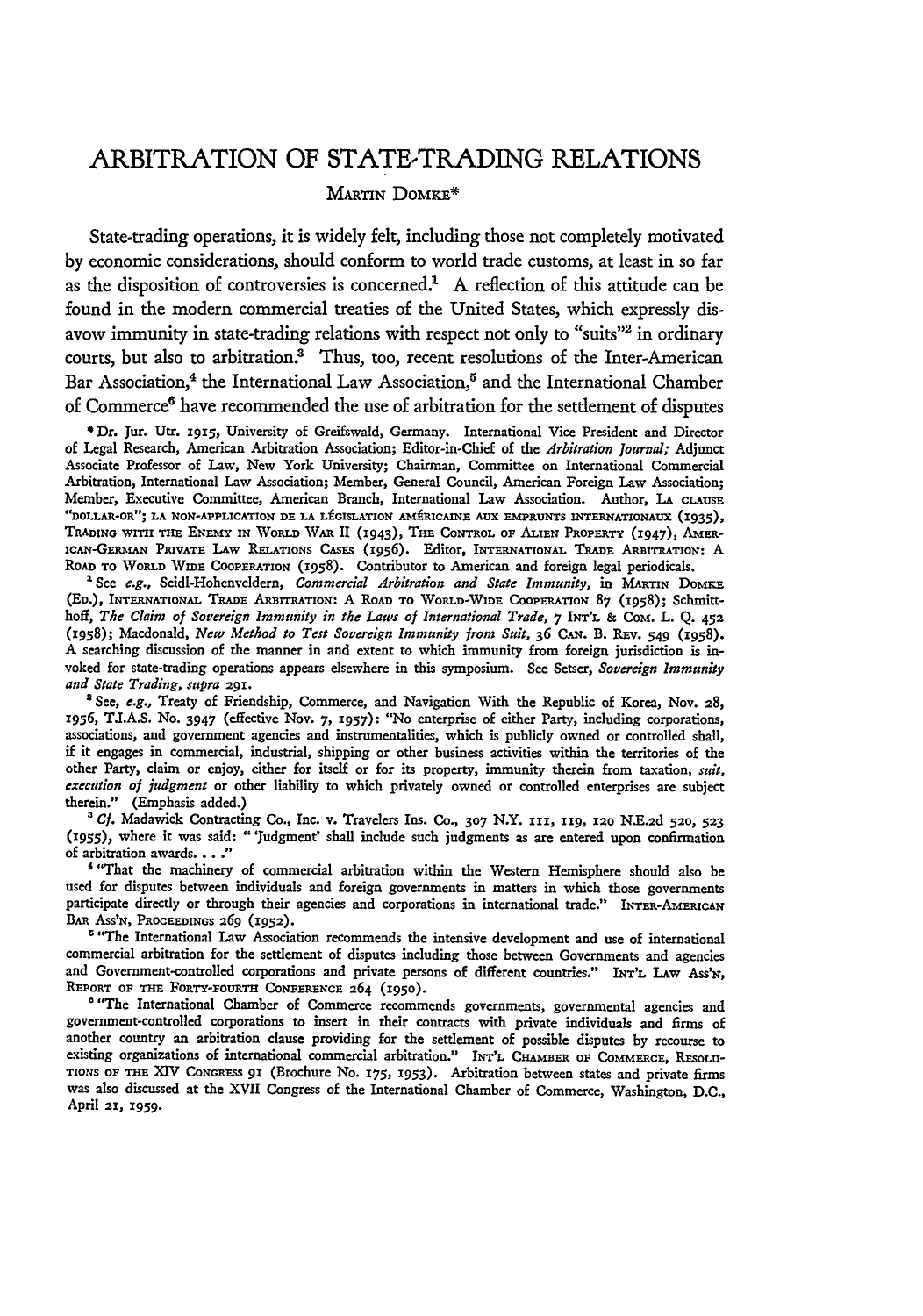# ARBITRATION OF STATE-TRADING RELATIONS

## MARTIN DOMKE\*

State-trading operations, it is widely felt, including those not completely motivated by economic considerations, should conform to world trade customs, at least in so far as the disposition of controversies is concerned.<sup>1</sup> A reflection of this attitude can be found in the modern commercial treaties of the United States, which expressly disavow immunity in state-trading relations with respect not only to "suits"<sup>2</sup> in ordinary courts, but also to arbitration.<sup>3</sup> Thus, too, recent resolutions of the Inter-American Bar Association,<sup>4</sup> the International Law Association,<sup>5</sup> and the International Chamber of Commerce<sup>6</sup> have recommended the use of arbitration for the settlement of disputes

**\*** Dr. Jur. Utr. **1915,** University of Greifswald, Germany. International Vice President and Director of Legal Research, American Arbitration Association; Editor-in-Chief of the *Arbitration Journal;* Adjunct Associate Professor of Law, New York University; Chairman, Committee on International Commercial Arbitration, International Law Association; Member, General Council, American Foreign Law Association; Member, Executive Committee, American Branch, International Law Association. Author, **LA** CLAUSE **"DOLLAR-OR"; LA NON-APPLICATION DE LA LfGISLATION AMRICAINE AUX EMPRUNTS INTERNATIONAUX (1935), TRADING WITH THE ENEMY IN WoRLD** WAR II **(1943), THE CONTROL** OF **ALIEN PROPERTY (1947),** *AMER***iCAN-GERMAN PRIVATE LAW RELATIONS** CASES (1956). Editor, INTERNATIONAL **TRADE** ARBITRATION: **A ROAD TO WORLD WIDE COOPERATION** (1958). Contributor to American and foreign legal periodicals.

' See *e.g.,* Seidl-Hohenveldern, *Commercial Arbitration and State Immunity,* in **MARTIN** DoMKE **(ED.), INTERNATIONAL** TRADE **AmBITRATION: A** RoAn **TO** WoRLD-WIDE **COOPERATION 87** (1958); Schmitthoff, *The Claim of Sovereign Immunity in the Laws of International Trade,* **7** INT'L **&** CoM. L. **Q. 452** (i958); Macdonald, *New Method to Test Sovereign Immunity from Suit,* **36** CAN. B. REv. 549 (1958). **A** searching discussion of the manner in and extent to which immunity from foreign jurisdiction is invoked for state-trading operations appears elsewhere in this symposium. See Setser, *Sovereign Immunity and State Trading, supra* **291.**

'See, *e.g.,* Treaty of Friendship, Commerce, and Navigation With the Republic of Korea, Nov. **28, 1956, T.I.A.S.** No. **3947** (effective Nov. **7, 1957):** "No enterprise of either Party, including corporations, associations, and government agencies and instrumentalities, which is publicly owned or controlled shall, if it engages in commercial, industrial, shipping or other business activities within the territories of the other Party, claim or enjoy, either for itself or for its property, immunity therein from taxation, *suit, execution of judgment* or other liability to which privately owned or controlled enterprises are subject therein." (Emphasis added.)

*' Cf.* Madawick Contracting Co., Inc. **v.** Travelers Ins. Co., **307** N.Y. 111, **119, 12o N.E.2d 520, 523 (955),** where it was said: "'Judgment' shall include such judgments as are entered upon confirmation of arbitration awards **.. "**

'"That the machinery of commercial arbitration within the Western Hemisphere should also **be** used for disputes between individuals and foreign governments in matters in which those governments participate directly or through their agencies and corporations in international trade." INTER-AMERICAN BAR Ass'N, **PROCEEDINGS 269 (1952).**

<sup>5</sup> "The International Law Association recommends the intensive development and use of international commercial arbitration for the settlement of disputes including those between Governments and agencies and Government-controlled corporations and private persons of different countries." INT'L LAW Ass'N, REPORT OF **THE FoRTY-FOtRTH CONFERENCE** 264 **(1950).**

<sup>6</sup> "The International Chamber of Commerce recommends governments, governmental agencies and government-controlled corporations to insert in their contracts with private individuals and firms of another **country** an arbitration clause providing for the settlement of possible disputes by recourse to existing organizations of international commercial arbitration." **INT'L CHAMBER** oF **CoMMERCE, RESOLU-TIONS O1 THE XIV CoNGRESS 91** (Brochure No. 175, **1953).** Arbitration between states and private firms was also discussed at the XVII Congress of the International Chamber of Commerce, Washington, D.C., April 21, **1959.**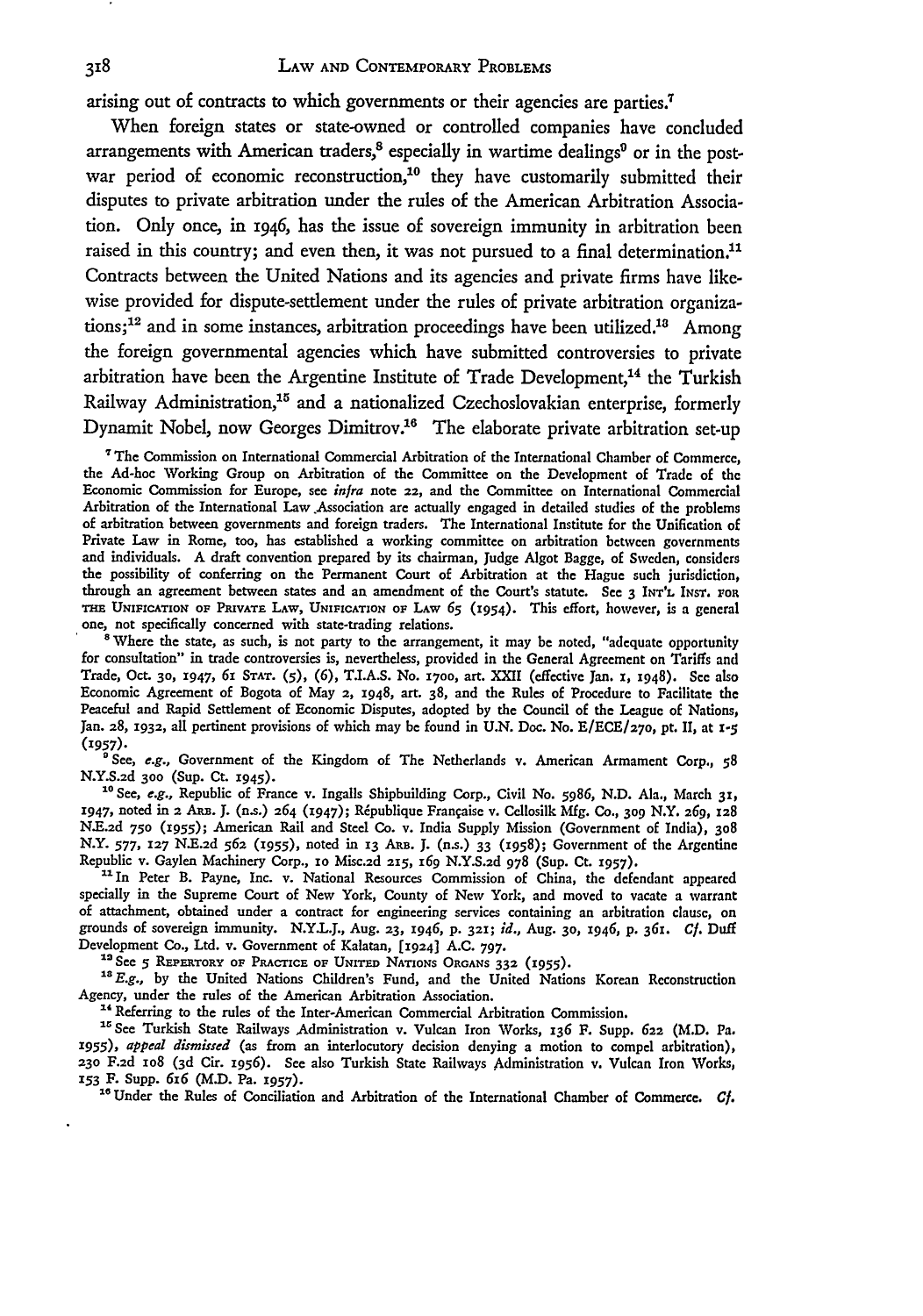arising out of contracts to which governments or their agencies are parties.<sup>7</sup>

When foreign states or state-owned or controlled companies have concluded arrangements with American traders, $<sup>8</sup>$  especially in wartime dealings $<sup>9</sup>$  or in the post-</sup></sup> war period of economic reconstruction,<sup>10</sup> they have customarily submitted their disputes to private arbitration under the rules of the American Arbitration Association. Only once, in 1946, has the issue of sovereign immunity in arbitration been raised in this country; and even then, it was not pursued to a final determination.<sup>11</sup> Contracts between the United Nations and its agencies and private firms have likewise provided for dispute-settlement under the rules of private arbitration organiza $tions;$ <sup>12</sup> and in some instances, arbitration proceedings have been utilized.<sup>13</sup> Among the foreign governmental agencies which have submitted controversies to private arbitration have been the Argentine Institute of Trade Development,<sup>14</sup> the Turkish Railway Administration,<sup>15</sup> and a nationalized Czechoslovakian enterprise, formerly Dynamit Nobel, now Georges Dimitrov.<sup>16</sup> The elaborate private arbitration set-up

"The Commission on International Commercial Arbitration of the International Chamber of Commerce, the Ad-hoc Working Group on Arbitration of the Committee on the Development of Trade of the Economic Commission for Europe, see *infra* note **22,** and the Committee on International Commercial Arbitration of the International Law Association are actually engaged in detailed studies of the problems of arbitration between governments and foreign traders. The International Institute for the Unification of Private Law in Rome, too, has established a working committee on arbitration between governments and individuals. A draft convention prepared **by** its chairman, Judge Algot Bagge, of Sweden, considers the possibility of conferring on the Permanent Court of Arbitration at the Hague such jurisdiction, through an agreement between states and an amendment of the Court's statute. See **3 INT'L INsT. FOR TnE UNIFICATION OF PRIVATE LAW, UNIFICATION OF** LAW *65* (1954). This effort, however, is a general one, not specifically concerned with state-trading relations.

'Where the state, as such, is not party to the arrangement, it may **be** noted, "adequate opportunity for consultation" in trade controversies is, nevertheless, provided in the General Agreement on Tariffs and Trade, Oct. **30,** 1947, **61 STAT.** (5), (6), T.LA.S. No. **170o,** art. XXII (effective Jan. **1,** 1948). See also Economic Agreement of Bogota of May 2, 1948, art. 38, and the Rules of Procedure to Facilitate the Peaceful and Rapid Settlement of Economic Disputes, adopted **by** the Council of the League of Nations, Jan. 28, 1932, all pertinent provisions of which may be found in U.N. Doc. No. E/ECE/270, pt. II, at 1-5 (1957).

**'** See, e.g., Government of the Kingdom of The Netherlands v. American Armament Corp., **58 N.Y.S.2d 300** (Sup. Ct. **1945).**

*"* **See,** e.g., Republic of France v. Ingalls Shipbuilding Corp., Civil No. *5986,* **N.D.** Ala., March **31,** 1947, noted in 2 ARB. J. (n.s.) 264 (1947); République Française v. Cellosilk Mfg. Co., 309 N.Y. 269, 128 **N.E.2d 750** (1955); American Rail and Steel Co. v. India Supply Mission (Government of India), **308** N.Y. 577, 127 N.E.2d 562 (1955), noted in 13 ARB. J. (n.s.) 33 (1958); Government of the Argentine Republic v. Gaylen Machinery Corp., **1o** Misc.2d **215,** *I69* **N.Y.S.2d 978 (Sup. Ct. 1957).**

11 In Peter B. Payne, Inc. v. National Resources Commission of China, the defendant appeared specially in the Supreme Court of New York, County of New York, and moved to vacate a warrant of attachment, obtained under a contract for engineering services containing an arbitration clause, on grounds of sovereign immunity. N.Y.L.J., Aug. **23,** 1946, p. **321;** *id.,* Aug. **30,** 1946, *p. 361. Cf.* Duff Development Co., Ltd. v. Government of Kalatan, **[1924]** A.C. **797.**

<sup>13</sup> See 5 REPERTORY OF PRACTICE OF UNITED NATIONS ORGANS 332 (1955).

<sup>3</sup> E.g., by the United Nations Children's Fund, and the United Nations Korean Reconstruction Agency, under the rules of the American Arbitration Association.

<sup>14</sup> Referring to the rules of the Inter-American Commercial Arbitration Commission.

" <sup>1</sup> See Turkish State Railways Administration v. Vulcan Iron Works, *136* F. Supp. **622** (M.D. Pa. **1955),** *appeal dismissed* (as from an interlocutory decision denying a motion to compel arbitration), **23o F.2d** io8 **(3 d** Cir. **z956).** See also Turkish State Railways Administration v. Vulcan Iron Works, **<sup>153</sup>**F. Supp. *616* **(M.D.** Pa. **i957).** "Under the Rules of Conciliation and Arbitration of the International Chamber of Commerce. *CI.*

 $\ddot{\phantom{1}}$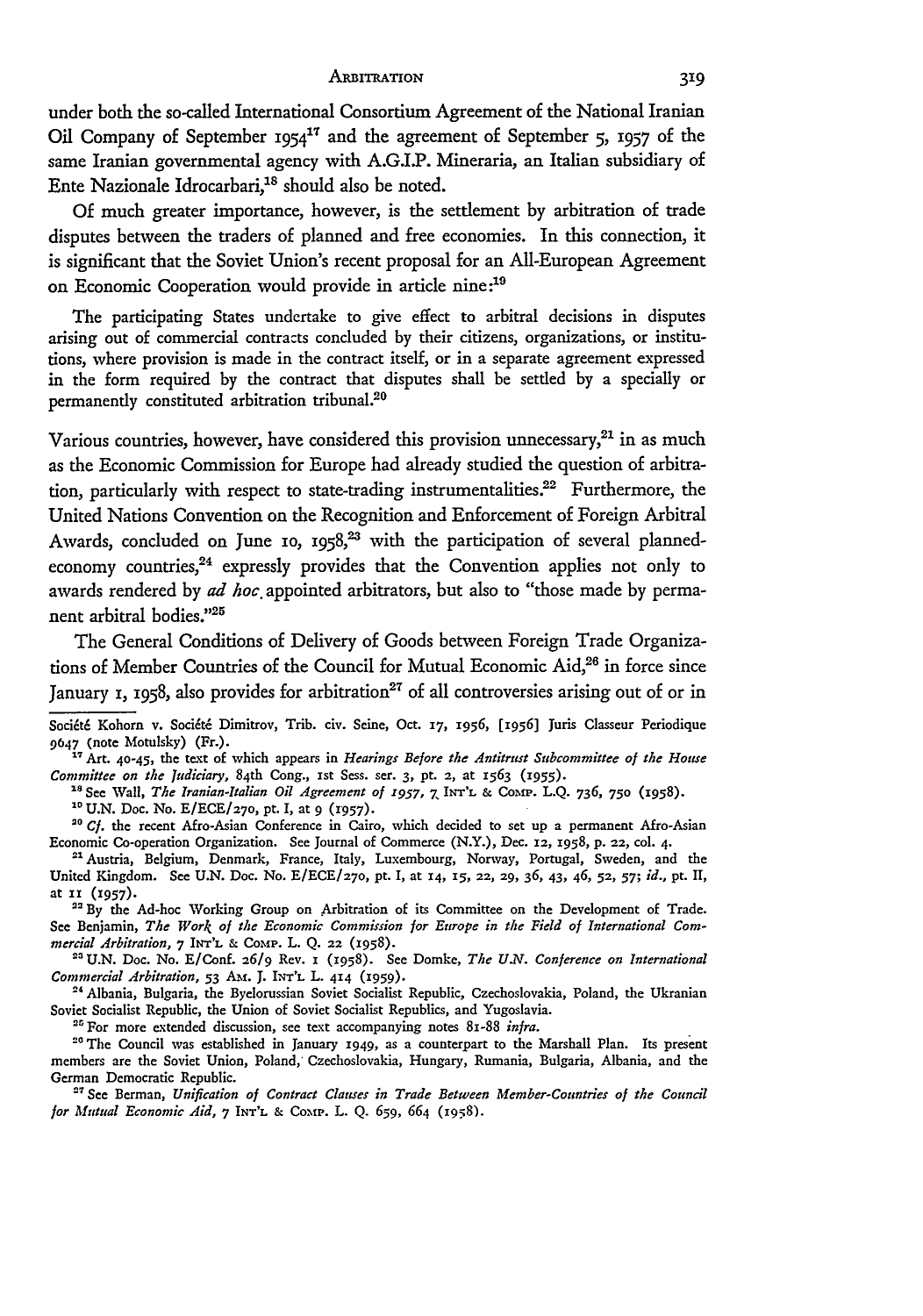under both the so-called International Consortium Agreement of the National Iranian Oil Company of September **I954"** and the agreement of September **5, 1957** of the same Iranian governmental agency with **A.GI.P.** Mineraria, an Italian subsidiary of Ente Nazionale Idrocarbari,<sup>18</sup> should also be noted.

**Of** much greater importance, however, is the settlement **by** arbitration of trade disputes between the traders of planned and free economies. In this connection, it is significant that the Soviet Union's recent proposal for an All-European Agreement on Economic Cooperation would provide in article nine:19

The participating States undertake to give effect to arbitral decisions in disputes arising out of commercial contracts concluded **by** their citizens, organizations, or institutions, where provision is made in the contract itself, or in a separate agreement expressed in the form required **by** the contract that disputes shall be settled **by** a specially or permanently constituted arbitration tribunal.<sup>20</sup>

Various countries, however, have considered this provision unnecessary, $21$  in as much as the Economic Commission for Europe had already studied the question of arbitration, particularly with respect to state-trading instrumentalities.<sup>22</sup> Furthermore, the United Nations Convention on the Recognition and Enforcement of Foreign Arbitral Awards, concluded on June 10, 1958,<sup>23</sup> with the participation of several plannedeconomy countries, $24$  expressly provides that the Convention applies not only to awards rendered by *ad hoc* appointed arbitrators, but also to "those made by permanent arbitral bodies."<sup>25</sup>

The General Conditions of Delivery of Goods between Foreign Trade Organizations of Member Countries of the Council for Mutual Economic Aid,<sup>26</sup> in force since January *x*, *1958*, also provides for arbitration<sup>27</sup> of all controversies arising out of or in

<sup>17</sup> Art. 40-45, the text of which appears in *Hearings Before the Antitrust Subcommittee of the House* Committee on the Judiciary, 84th Cong., 1st Sess. ser. 3, pt. 2, at 1563 (1955).<br><sup>18</sup> See Wall, The Iranian-Italian Oil Agreement of 1957, 7 INT'L & COMP. L.Q. 736, 750 (1958).

"U.N. Doc. No. E/ECE/27o, pt. **I,** at **9 (1957).**

<sup>22</sup> By the Ad-hoc Working Group on Arbitration of its Committee on the Development of Trade. See Benjamin, *The Work of the Economic Commission for Europe in the Field of International Com* $mercial$  *Arbitration*,  $7$  INT'L & COMP. L. Q. 22 (1958).

**"'** U.N. Doc. No. E/Conf. **26/9** Rev. **x (1958).** See Domke, *The U.V. Conference on International Commercial Arbitration,* **53 Am. J. INT'L** L. 414 **(1959).**

<sup>24</sup> Albania, Bulgaria, the Byelorussian Soviet Socialist Republic, Czechoslovakia, Poland, the Ukranian Soviet Socialist Republic, the Union of Soviet Socialist Republics, and Yugoslavia.<br><sup>25</sup> For more extended discussion, see text accompanying notes 81-88 *infra*.

<sup>26</sup> The Council was established in January 1949, as a counterpart to the Marshall Plan. Its present members are the Soviet Union, Poland,' Czechoslovakia, Hungary, Rumania, Bulgaria, Albania, and the German Democratic Republic.

" See Berman, *Unification of Contract Clauses in Trade Between Member-Countries of the Council for Mutual Economic Aid,* 7 **INT'L &** Comp. L. **Q.** 659, 664 (1958).

Société Kohorn v. Société Dimitrov, Trib. civ. Seine, Oct. 17, 1956, [1956] Juris Classeur Periodique 9647 (note Motulsky) (Fr.).

<sup>&</sup>lt;sup>20</sup> Cf. the recent Afro-Asian Conference in Cairo, which decided to set up a permanent Afro-Asian Economic Co-operation Organization. See Journal of Commerce (N.Y.), Dec. **12, 1958,** p. **22,** col. 4.

**<sup>&</sup>quot;** Austria, Belgium, Denmark, France, Italy, Luxembourg, Norway, Portugal, Sweden, and the United Kingdom. See **U.N.** Doc. No. **E/ECE/27o,** pt. I, at **14, 15, 22, 29, 36,** 43, 46, **52, 57;** *id.,* pt. **II,** at **it (1957).**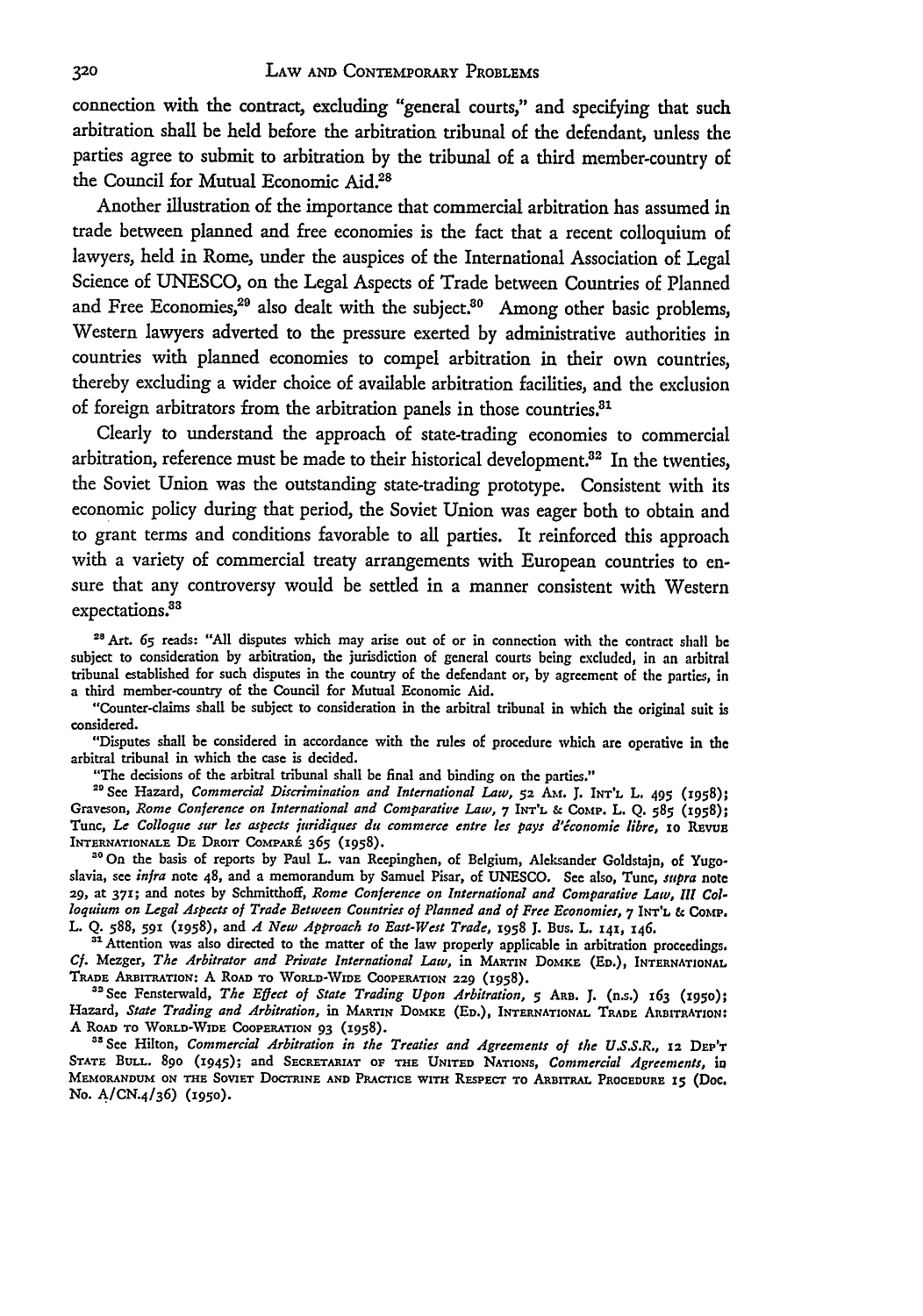connection with the contract, excluding "general courts," and specifying that such arbitration shall be held before the arbitration tribunal of the defendant, unless the parties agree to submit to arbitration **by** the tribunal of a third member-country of the Council for Mutual Economic **Aid. <sup>28</sup>**

Another illustration of the importance that commercial arbitration has assumed in trade between planned and free economies is the fact that a recent colloquium of lawyers, held in Rome, under the auspices of the International Association of Legal Science of **UNESCO,** on the Legal Aspects of Trade between Countries of Planned and Free Economies,<sup>29</sup> also dealt with the subject.<sup>30</sup> Among other basic problems, Western lawyers adverted to the pressure exerted **by** administrative authorities in countries with planned economies to compel arbitration in their own countries, thereby excluding a wider choice of available arbitration facilities, and the exclusion of foreign arbitrators from the arbitration panels in those countries.<sup>81</sup>

Clearly to understand the approach of state-trading economies to commercial arbitration, reference must be made to their historical development. $32$  In the twenties, the Soviet Union was the outstanding state-trading prototype. Consistent with its economic policy during that period, the Soviet Union was eager both to obtain and to grant terms and conditions favorable to all parties. It reinforced this approach with a variety of commercial treaty arrangements with European countries to ensure that any controversy would be settled in a manner consistent with Western expectations.<sup>33</sup>

<sup>28</sup> Art. 65 reads: "All disputes which may arise out of or in connection with the contract shall be subject to consideration by arbitration, the jurisdiction of general courts being excluded, in an arbitral tribunal established for such disputes in the country of the defendant or, **by** agreement of the parties, in a third member-country of the Council for Mutual Economic Aid.

"Counter-claims shall be subject to consideration in the arbitral tribunal in which the original suit is considered.

"Disputes shall be considered in accordance with the rules of procedure which **are** operative in the arbitral tribunal in which the case is decided.

"The decisions of the arbitral tribunal shall be final and binding on the parties."

**"'** See Hazard, *Commercial Discrimination and International Law,* **52** Amf. **J. INT'L** L. **495 (1958);** Graveson, *Rome Conference on International and Comparative* Law, **7 INT'L &** Comp. L. **Q. 585** (1958); Tune, **Le** *Colloque sur* les *aspects juridiques die commerce entre les pays d'tconomie libre,* **io** Rnvua INTERNATIONALE DE DROIT COMPARÉ 365 (1958).

**"0** On the basis of reports by Paul L. van Reepinghen, of Belgium, Aleksander Goldstajn, of Yugoslavia, see infra note 48, and a memorandum by Samuel Pisar, of **UNESCO. See** also, Tune, *supra* note **29,** at **371;** and notes by Schmitthoff, *Rome Conference on International and Comparative Law, IlI Colloquium on Legal Aspects of Trade Between Countries of Planned and of Free Economies, 7 INT'L & COMP.* L. Q. 588, **591** (2958), and *A New Approach to East-West Trade, 1958* **J.** Bus. L. **141,** 146.

<sup>31</sup> Attention was also directed to the matter of the law properly applicable in arbitration proceedings. *Cf.* Mezger, *The Arbitrator and Private International Law,* in MARTIN DOMKE (ED.), **INTERNATIONAL TRADE** ARBITRATION: A RoAD **TO** WORLD-NVIDE CoOPERATION **229** (1958).

" 2See Fensterwald, *The Effect of State Trading Upon Arbitration,* **5 AaB. J.** (n.s.) x63 **(195o);** Hazard, *State Trading and Arbitration,* in MARTIN **DO MKE (ED.), INTERNATIONAL TRADE** ARBITRATION: <sup>A</sup>**ROAD TO 'WORLD-WIDE** CoOPERATION **93** (1958).

<sup>38</sup> See Hilton, *Commercial Arbitration in the Treaties and Agreements of the U.S.S.R., 12 DEP'r* **STATE BULL. 89o** (1945); and *SECRETARIAT* **OF THE UNITED** NATIONS, *Commercial Agreements, in* **MEMORANDUM ON THE SOviET** DOCTRINE **AND** PRACTICE wiTH RasPEcT **TO** ARaBrrRA **PROCEDURE 15** (Doc. No. **A/CN. <sup>4</sup> / <sup>3</sup> 6) (195o).**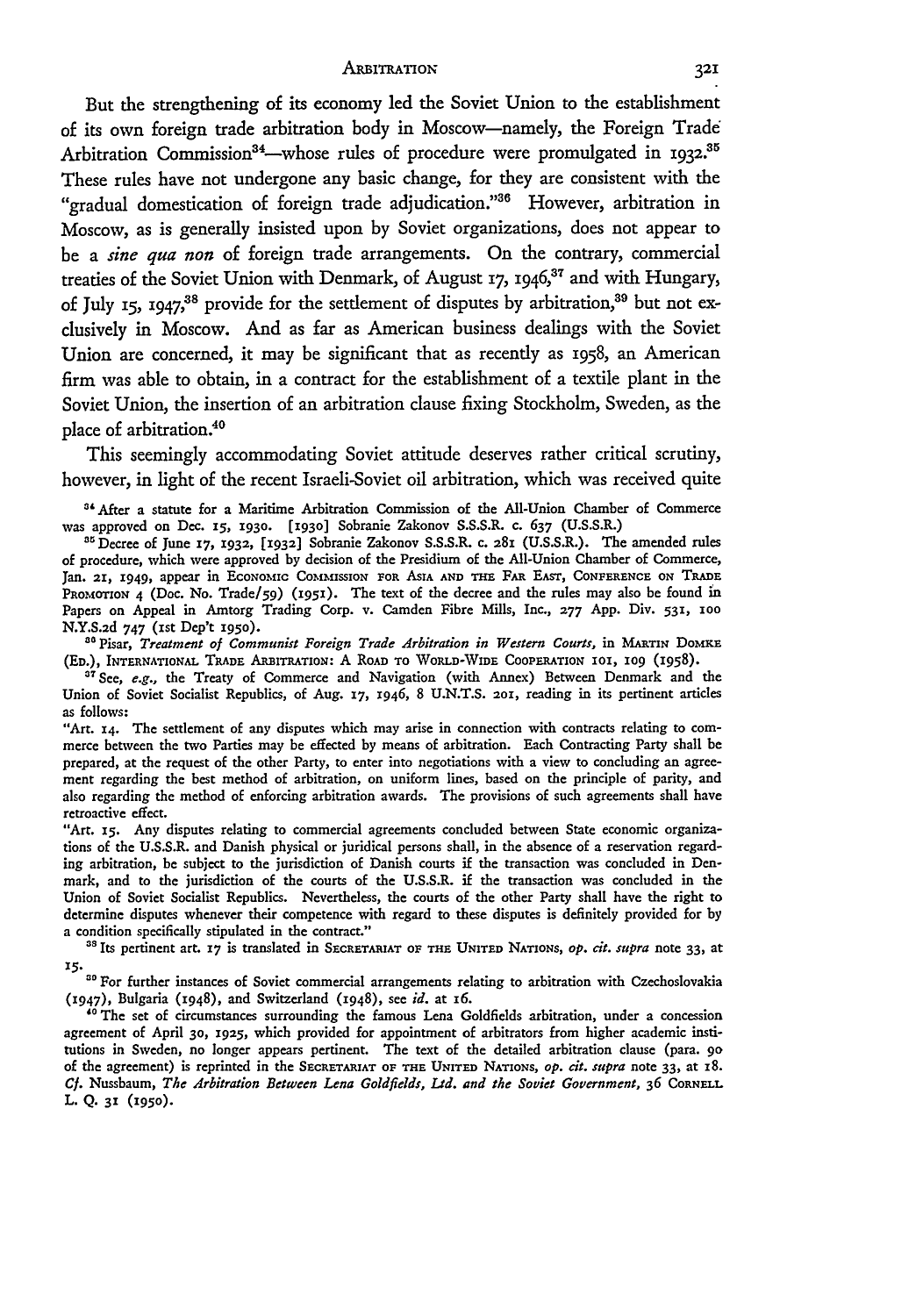But the strengthening of its economy **led** the Soviet Union to the establishment of its own foreign trade arbitration body in Moscow-namely, the Foreign Trade Arbitration Commission<sup>34</sup>—whose rules of procedure were promulgated in 1932.<sup>35</sup> These rules have not undergone any basic change, for they are consistent with the "gradual domestication of foreign trade adjudication."36 However, arbitration in Moscow, as is generally insisted upon **by** Soviet organizations, does not appear to be a *sine qua non* of foreign trade arrangements. On the contrary, commercial treaties of the Soviet Union with Denmark, of August **17,** 1946," and with Hungary, of July 15, 1947,<sup>38</sup> provide for the settlement of disputes by arbitration,<sup>39</sup> but not exclusively in Moscow. And as far as American business dealings with the Soviet Union are concerned, it may be significant that as recently as 1958, an American firm was able to obtain, in a contract for the establishment of a textile plant in the Soviet Union, the insertion of an arbitration clause fixing Stockholm, Sweden, as the place of arbitration.<sup>40</sup>

This seemingly accommodating Soviet attitude deserves rather critical scrutiny, however, in light of the recent Israeli-Soviet oil arbitration, which was received quite

**31After** a statute for a Maritime Arbitration Commission of the All-Union Chamber of Commerce was approved on Dec. **15,** *1930.* [1930] Sobranie Zakonov S.S.S.R. **c.** 637 (U.S.S.R.)

**"** Decree of June **17, 1932, [1932]** Sobranie Zakonov **S.S.S.R. C. 281 (U.S.S.R.).** The amended rules of procedure, which were approved by decision of the Presidium of the All-Union Chamber of Commerce, Jan. **21,** 1949, appear in EcoNoMic **COMMIssIoN** FOR AsIA **AND THE** FAR **EAST, CONFERENCE ON TsADE** PROMOTION 4 (Doe. No. Trade/59) **(195i).** The text **of** the decree and the rules may also be found in Papers on Appeal in Amtorg Trading Corp. v. Camden Fibre Mills, Inc., **277** App. Div. **531, 100** N.Y.S.2d 747 (ist Dep't **195o).**

<sup>80</sup> Pisar, *Treatment of Communist Foreign Trade Arbitration in Western Courts, in MARTIN DOMKE* **(ED.), INTERNATIONAL TRADE AREITRATioN:** A ROAD **TO** WORLD-WIDE COOPERATION **101, 509** (1958).

<sup>37</sup> See, *e.g.*, the Treaty of Commerce and Navigation (with Annex) Between Denmark and the Union of Soviet Socialist Republics, of Aug. **17,** 1946, 8 U.N.T.S. 2oi, reading in its pertinent articles as follows:

"Art. X4. The settlement of any disputes which may arise in connection with contracts relating to commerce between the two Parties may be effected by means of arbitration. Each Contracting Party shall be prepared, at the request of the other Party, to enter into negotiations with a view to concluding an agreement regarding the best method **of** arbitration, on uniform lines, based on the principle of parity, and also regarding the method of enforcing arbitration awards. The provisions of such agreements shall have retroactive effect.

"Art. *1S.* Any disputes relating to commercial agreements concluded between State economic organizations of the U.S.S.R. and Danish physical or juridical persons shall, in the absence of a reservation regarding arbitration, be subject to the jurisdiction of Danish courts if the transaction was concluded in Denmark, and to the jurisdiction of the courts **of** the U.S.S.R. if the transaction was concluded in the Union of Soviet Socialist Republics. Nevertheless, the courts of the other Party shall have the right to determine disputes whenever their competence with regard to these disputes is definitely provided for **by** a condition specifically stipulated in the contract."

**"s** Its pertinent art. **17** is translated in **SECRETARIAT OF THE UNITED NATIONS,** *Op. cit. supra* note 33, at *X5.* **'0** For further instances of Soviet commercial arrangements relating to arbitration with Czechoslovakia

(1947), Bulgaria (1948), and Switzerland (1948), see *id.* at 16.

**"o** The set of circumstances surrounding the famous Lena Goldfields arbitration, under a concession agreement of April **30, 1925,** which provided for appointment **of** arbitrators from higher academic institutions in Sweden, no longer appears pertinent. The text of the detailed arbitration clause (para. **90** of the agreement) is reprinted in the **SECRETARIAT OF THE UNITED** NATIONS, *op. cit. supra* note **33,** at **8.** *Cf.* Nussbaum, *The Arbitration Between Lena Goldfields, Ltd. and the Soviet Government,* **36 CORNELL** L. **Q. 31 (1950).**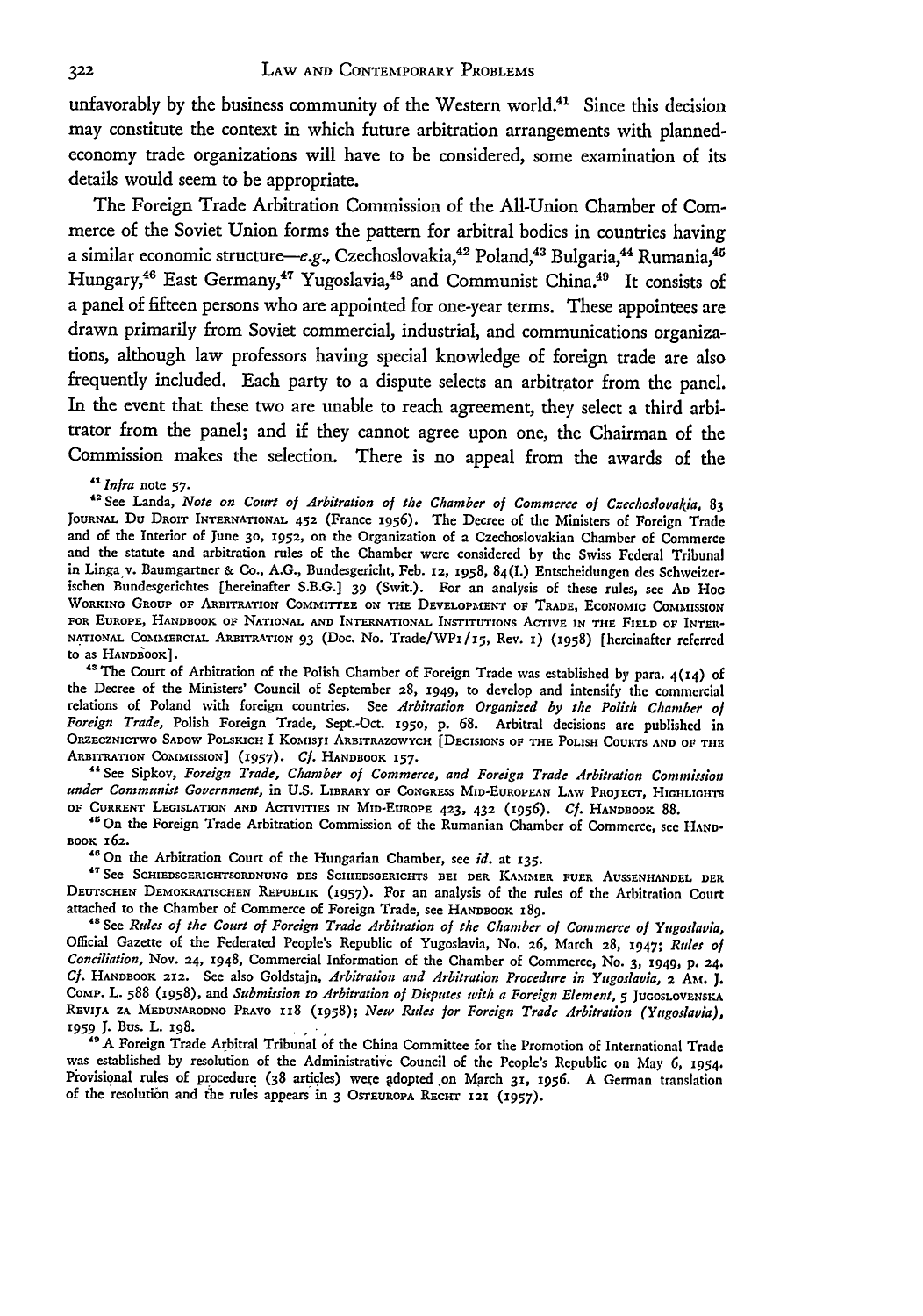unfavorably by the business community of the Western world.<sup>41</sup> Since this decision may constitute the context in which future arbitration arrangements with plannedeconomy trade organizations will have to be considered, some examination of its details would seem to be appropriate.

The Foreign Trade Arbitration Commission of the All-Union Chamber of Commerce of the Soviet Union forms the pattern for arbitral bodies in countries having a similar economic structure-e.g., Czechoslovakia,<sup>42</sup> Poland,<sup>43</sup> Bulgaria,<sup>44</sup> Rumania,<sup>45</sup> Hungary,<sup>46</sup> East Germany,<sup>47</sup> Yugoslavia,<sup>48</sup> and Communist China.<sup>49</sup> It consists of a panel of fifteen persons who are appointed for one-year terms. These appointees are drawn primarily from Soviet commercial, industrial, and communications organizations, although law professors having special knowledge of foreign trade are also frequently included. Each party to a dispute selects an arbitrator from the panel. In the event that these two are unable to reach agreement, they select a third arbitrator from the panel; and **if** they cannot agree upon one, the Chairman of the Commission makes the selection. There is no appeal from the awards of the

### *Infra* note **57-**

<sup>42</sup> See Landa, *Note on Court of Arbitration of the Chamber of Commerce of Czechoslovakia*, 83 JOURNAL **Du DROIT INTERNATIONAL 452** (France **1956).** The Decree of the Ministers of Foreign Trade and of the Interior of June **30,** 1952, **on** the Organization of a Czechoslovakian Chamber of Commerce and the statute and arbitration rules of the Chamber were considered by the Swiss Federal Tribunal **in** Linga **v.** Baumgartner & Co., A.G., Bundesgericht, Feb. **12, 1958,** 84(I.) Entscheidungen des Schweizerischen Bundesgerichtes [hereinafter S.B.G.] 39 (Swit.). For an analysis of these rules, see **AD** Hoc **WORKING GROUP OF ARBITRATION** COMMITTEE **ON THE DEVELOPMENT OF TRADE, ECONOMIC** COMMISSION **FOR EUROPE, HANDBOOK OF NATIONAL AND INTERNATIONAL INSTITUTIONS** AcTivE **IN THE FIELD OF INTER-NATIONAL** COMMERCIAL ARBITRATION **93** (Doc. No. Trade/WPz/1 <sup>5</sup> , Rev. 1) **(1958) [hereinafter referred** to as **HANDBOOK].**

<sup>48</sup> The Court of Arbitration of the Polish Chamber of Foreign Trade was established by para.  $4(14)$  of the Decree of the Ministers' Council of September **28, 1949, to** develop and intensify the commercial relations of Poland with foreign countries. See *Arbitration Organized by the Polish Chamber of Foreign Trade,* Polish Foreign Trade, Sept.-Oct. **1950,** p. 68. Arbitral decisions are published in **ORZECZNICTWO SADOW POLSKICH** I KoMIsji' **ARBITRAZOWYCH [DECISIONS OF THE POLISH COURTS AND OP TIIE ARBITRATION COMMISSION] (1957).** *Cf.* **HANDBOOK 157.**

**"** See Sipkov, *Foreign Trade, Chamber of Commerce, and Foreign Trade Arbitration Commission under Communist Government,* in **U.S. LIBRARY OF CoNGRESS MID-EUROPEAN LAW PROJECT, HIGHLIGHTS OF CURRENT LEGISLATION AND ACTIVITIES IN MID-EUROPE 423,** 432 **(z956).** *Cf.* **HANDBOOK** 88.

**"On** the Foreign Trade Arbitration Commission of the Rumanian Chamber of Commerce, see **HAND-BOOK 162.**

**"'** On the Arbitration Court of the Hungarian Chamber, see *id.* at **135.**

**"See SCHIEDSGERICHTSORDNUNG DES SCHIEDSGERICHTS BEI DER** KAMMER **FUER AUSSENHANDEL DER DEUTSCHEN** DEMOKRATISCHEN REPUBLIK **(1957).** For an analysis of the rules of the Arbitration Court attached to the Chamber of Commerce of Foreign Trade, see HANDBOOK 189.

**<sup>48</sup>See** *Rules of the Court of Foreign Trade Arbitration of the Chamber of Commerce of Yugoslavia,* Official Gazette of the Federated People's Republic of Yugoslavia, No. **26,** March **28,** 1947; *Rules* ol *Conciliation,* Nov. **24,** 1948, Commercial Information of the Chamber of Commerce, No. **3,** 1949, **p. 24.** *Cf.* HANDBOOK **212.** See also Goldstajn, *Arbitration and Arbitration Procedure in Yugoslavia,* **2** AM. J. COMP. L. 588 (1958), and *Submission to Arbitration of Disputes with a Foreign Element*, **5** JUGOSLOVENSKA REIJA ZA **MEDUNARODNO** PRAVO **118** (1958); *New Rules for Foreign Trade Arbitration (Yugoslavia),* **1959 J.** Bus. L. 198.

**"A** Foreign Trade Arbitral Tribunal of the China Committee for the Promotion of International Trade was established by resolution of the Administrative Council of the People's Republic on May *6,* 1954. Provisional rules of procedure (38 articles) were adopted on March 31, 1956. A German translation of the resolution and the rules appears in 3 **OSTEUROPA RECHT 121 (1957)-**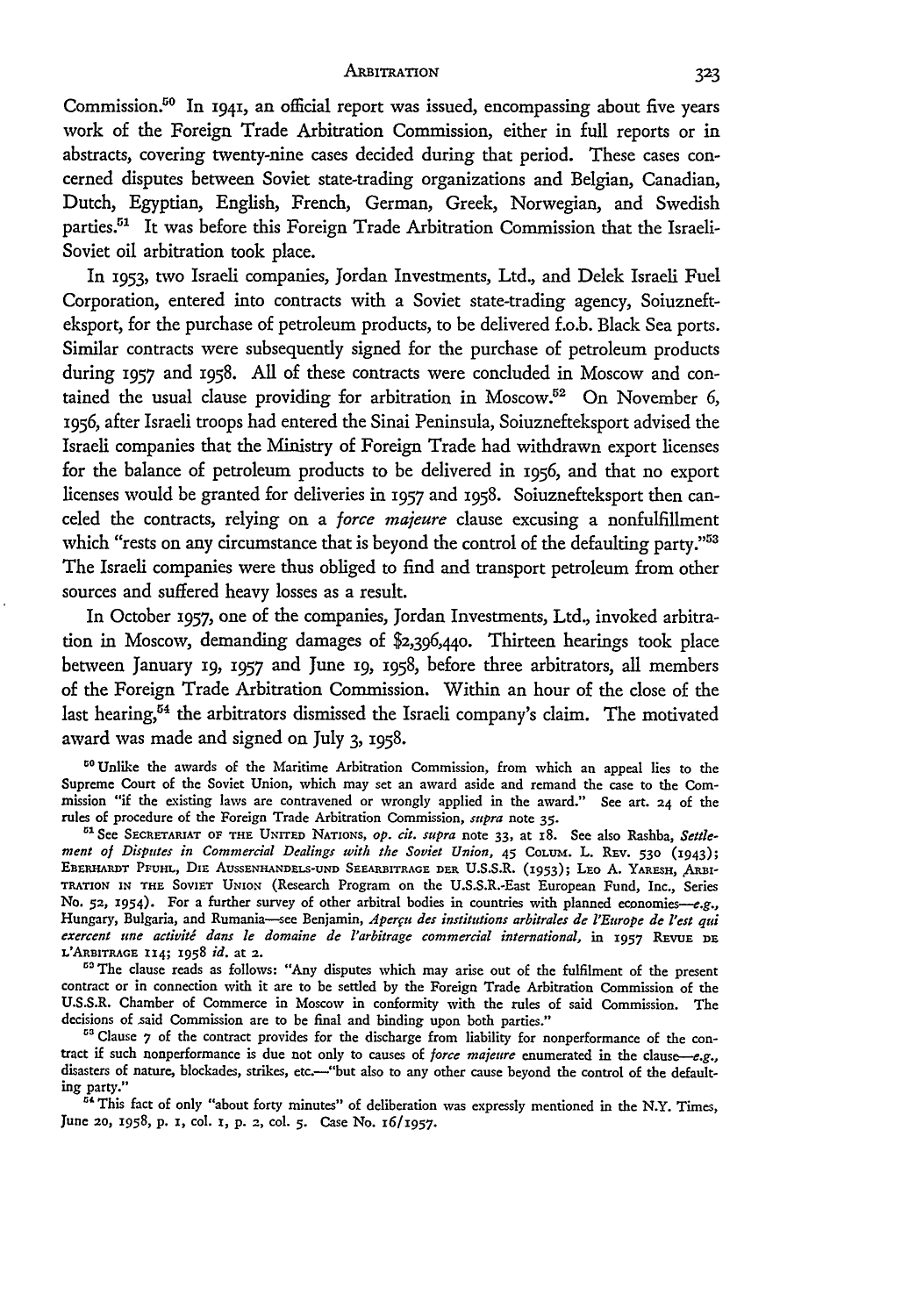Commission.<sup>50</sup> In 1941, an official report was issued, encompassing about five years work of the Foreign Trade Arbitration Commission, either in full reports or in abstracts, covering twenty-nine cases decided during that period. These cases concerned disputes between Soviet state-trading organizations and Belgian, Canadian, Dutch, Egyptian, English, French, German, Greek, Norwegian, and Swedish parties.<sup>51</sup> It was before this Foreign Trade Arbitration Commission that the Israeli-Soviet oil arbitration took place.

In 1953, two Israeli companies, Jordan Investments, Ltd., and Delek Israeli Fuel Corporation, entered into contracts with a Soviet state-trading agency, Soiuznefteksport, for the purchase of petroleum products, to be delivered f.o.b. Black Sea ports. Similar contracts were subsequently signed for the purchase of petroleum products during **1957** and 1958. All of these contracts were concluded in Moscow and contained the usual clause providing for arbitration in Moscow.<sup>52</sup> On November 6, 1956, after Israeli troops had entered the Sinai Peninsula, Soiuznefteksport advised the Israeli companies that the Ministry of Foreign Trade had withdrawn export licenses for the balance of petroleum products to be delivered in 1956, and that no export licenses would be granted for deliveries in **1957** and 1958. Soiuznefteksport then canceled the contracts, relying on a *force majeure* clause excusing a nonfulfillment which "rests on any circumstance that is beyond the control of the defaulting party."<sup>53</sup> The Israeli companies were thus obliged to find and transport petroleum from other sources and suffered heavy losses as a result.

In October **1957,** one of the companies, Jordan Investments, Ltd., invoked arbitration in Moscow, demanding damages of \$2,396,440. Thirteen hearings took place between January 19, **1957** and June **i9,** 1958, before three arbitrators, all members of the Foreign Trade Arbitration Commission. Within an hour of the close of the last hearing,<sup>54</sup> the arbitrators dismissed the Israeli company's claim. The motivated award was made and signed on July 3, 1958.

<sup>50</sup>Unlike the awards of the Maritime Arbitration Commission, from which an anneal lies to the Supreme Court of the Soviet Union, which may set an award aside and remand the case to the Commission "if the existing laws are contravened or wrongly applied in the award." See art. **24** of the rules of procedure of the Foreign Trade Arbitration Commission, *supra* note **35.**

<sup>51</sup> See SECRETARIAT OF THE UNITED NATIONS, op. cit. supra note 33, at 18. See also Rashba, Settle*ment of Disputes in Commercial Dealings with the Soviet Union,* 45 COLUm. L. REv. **530** (1943); EBERHARDT PFUHL, DIE AUSSENHANDELS-UND SEEARBITRAGE DER U.S.S.R. (1953); LEO A. YARESH, ARBI-TRATION IN THE SOVIET UNION (Research Program on the U.S.S.R.-East European Fund, Inc., Series No. 52, 1954). For a further survey of other arbitral bodies in countries with planned economies-e.g., Hungary, Bulgaria, and Rumania-see Benjamin, Aperçu des institutions arbitrales de l'Europe de l'est qui *exercent une activit dans le domaine de l'arbitrage commercial international,* in **1957** REvuE **DE** L'ARBITRAGE **114; X958** *id.* at **2.**

<sup>53</sup> The clause reads as follows: "Any disputes which may arise out of the fulfilment of the present contract or in connection with it are to be settled by the Foreign Trade Arbitration Commission of the U.S.S.R. Chamber of Commerce in Moscow in conformity with the rules of said Commission. The decisions of said Commission are to be final and binding upon both parties."

<sup>53</sup> Clause 7 of the contract provides for the discharge from liability for nonperformance of the contract if such nonperformance is due not only to causes of *force majeure* enumerated in the clause-e.g., disasters of nature, blockades, strikes, etc.---"but also to any other cause beyond the control of the defaulting party."

**"** This fact of only "about forty minutes" of deliberation was expressly mentioned in the N.Y. Times, June **20,** 1958, p. I, **col. 1,** p. **2,** col. **5.** Case No. **16/1957.**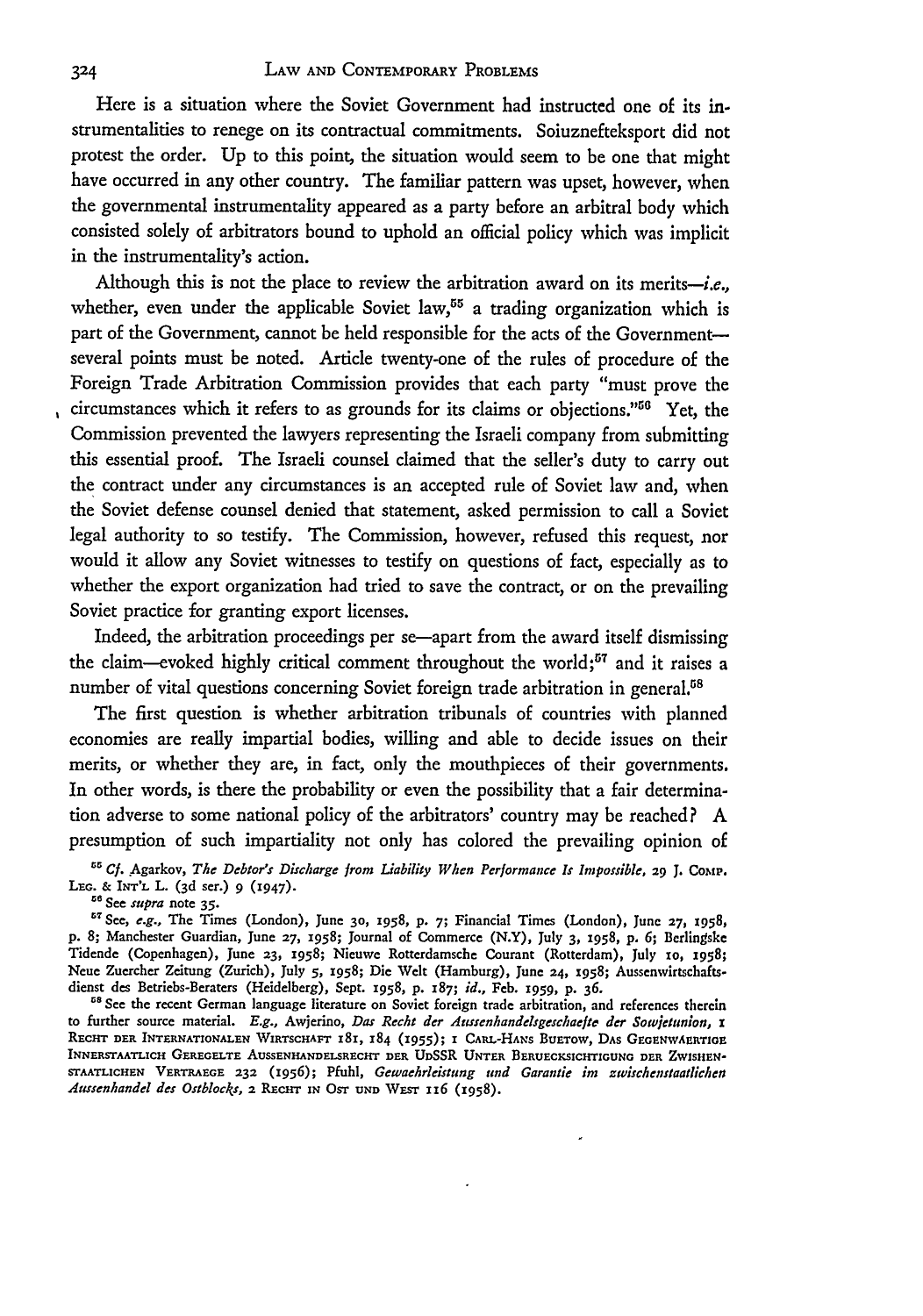Here is a situation where the Soviet Government had instructed one of its **in**strumentalities to renege on its contractual commitments. Soiuznefteksport did not protest the order. Up to this point, the situation would seem to be one that might have occurred in any other country. The familiar pattern was upset, however, when the governmental instrumentality appeared as a party before an arbitral body which consisted solely of arbitrators bound to uphold an official policy which was implicit in the instrumentality's action.

Although this is not the place to review the arbitration award on its merits-i.e., whether, even under the applicable Soviet law,<sup>55</sup> a trading organization which is part of the Government, cannot be held responsible for the acts of the Governmentseveral points must be noted. Article twenty-one of the rules of procedure of the Foreign Trade Arbitration Commission provides that each party "must prove the circumstances which it refers to as grounds for its claims or objections."<sup>56</sup> Yet, the Commission prevented the lawyers representing the Israeli company from submitting this essential proof. The Israeli counsel claimed that the seller's duty to carry out the contract under any circumstances is an accepted rule of Soviet law and, when the Soviet defense counsel denied that statement, asked permission to call a Soviet legal authority to so testify. The Commission, however, refused this request, nor would it allow any Soviet witnesses to testify on questions of fact, especially as to whether the export organization had tried to save the contract, or on the prevailing Soviet practice for granting export licenses.

Indeed, the arbitration proceedings per se-apart from the award itself dismissing the claim—evoked highly critical comment throughout the world;<sup>57</sup> and it raises a number of vital questions concerning Soviet foreign trade arbitration in general.<sup>58</sup>

The first question is whether arbitration tribunals of countries with planned economies are really impartial bodies, willing and able to decide issues on their merits, or whether they are, in fact, only the mouthpieces of their governments. In other words, is there the probability or even the possibility that a fair determination adverse to some national policy of the arbitrators' country may be reached? A presumption of such impartiality not only has colored the prevailing opinion of

*" Cf.* Agarkov, *The Debtor's Discharge from Liability When Performance Is Impossible,* 29 J. **ComP. LEG.** & *IN-'L* L. (3d ser.) 9 (1947)-

**See** *supra* note *35.*

See, *e.g.,* The Times (London), June **30, 1958,** p. **7;** Financial Times (London), June **27,** 1958, **p.** 8; Manchester Guardian, June **27,** 1958; Journal of Commerce (N.Y), July 3, 1958, **p. 6;** Berlingske Tidende (Copenhagen), June **23, 1958;** Nicuwe Rotterdamsche Courant (Rotterdam), July io, **x958;** Neue Zuercher Zeitung (Zurich), July 5, 1958; Die Welt (Hamburg), June **24,** 1958; Aussenwirtschaftsdienst des Betriebs-Beraters (Heidelberg), Sept. **1958,** P. 187; *id.,* Feb. **1959,** P. **36.**

<sup>58</sup> See the recent German language literature on Soviet foreign trade arbitration, and references therein to further source material. *E.g.,* Awjerino, *Das Recht der Aussenhandelsgeschaefte der Sowetunion, i* RECHT DER INTERNATIONALEN WIRTSCHAFT 181, 184 (1955); I CARL-HANS BUETOW, DAS GEGENWAERTIGE **INNERSTAATLICH GEREGELTE** AUSSENHANDELSRECHT **DER** UDSSR **UNTER BERUECKSICHTIGUNG DER** ZWISHEN-**STAATLICHEN VERTRAEGE 232** (1956); Pfuhl, *Gewaehrleistung und Garanie im zwischenstaatfiehen Aussenhandel des Ostblocks, 2 RECHT IN OST UND WEST 116 (1958).*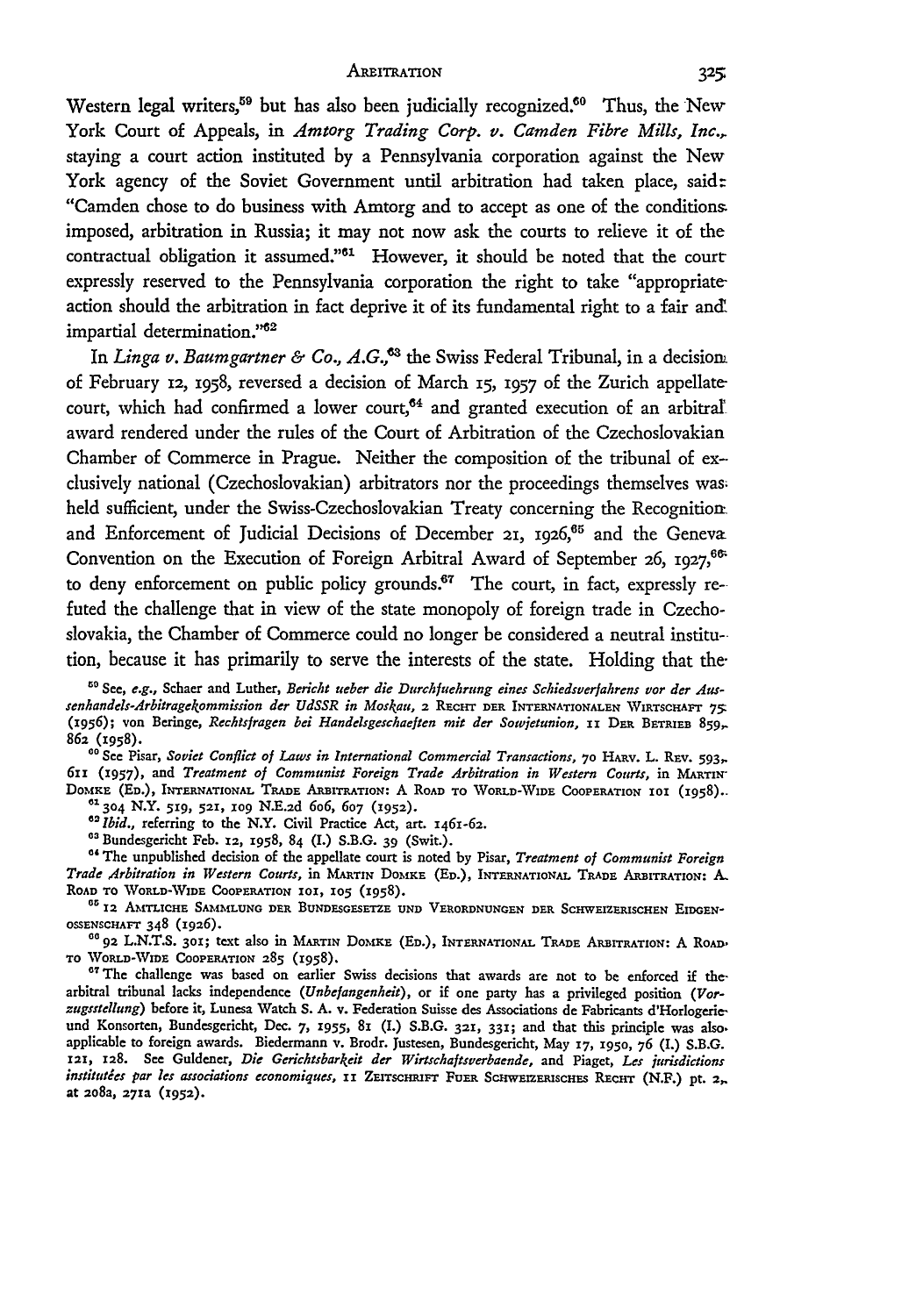#### AREITRATION

Western legal writers,<sup>59</sup> but has also been judicially recognized.<sup>60</sup> Thus, the New York Court of Appeals, in *Amtorg Trading Corp. v. Camden Fibre Mills, Inc.,* staying a court action instituted by a Pennsylvania corporation against the New York agency of the Soviet Government until arbitration had taken place, said: "Camden chose to do business with Amtorg and to accept as one of the conditions imposed, arbitration in Russia; it may not now ask the courts to relieve it of the contractual obligation it assumed."<sup>61</sup> However, it should be noted that the court expressly reserved to the Pennsylvania corporation the right to take "appropriate action should the arbitration in fact deprive it of its fundamental right to a fair and! impartial determination."<sup>62</sup>

In *Linga v. Baumgartner & Co., A.G.*,<sup>63</sup> the Swiss Federal Tribunal, in a decision. of February **12,** 1958, reversed a decision of March **15,** 1957 of the Zurich appellatecourt, which had confirmed a lower court,<sup>64</sup> and granted execution of an arbitral award rendered under the rules of the Court of Arbitration of the Czechoslovakian Chamber of Commerce in Prague. Neither the composition of the tribunal of exclusively national (Czechoslovakian) arbitrators nor the proceedings themselves was, held sufficient, under the Swiss-Czechoslovakian Treaty concerning the Recognitionand Enforcement of Judicial Decisions of December 21, **i926,65** and the Geneva Convention on the Execution of Foreign Arbitral Award of September 26, 1927,<sup>66</sup> to deny enforcement on public policy grounds.<sup>67</sup> The court, in fact, expressly refuted the challenge that in view of the state monopoly of foreign trade in Czechoslovakia, the Chamber of Commerce could no longer be considered a neutral institution, because it has primarily to serve the interests of the state. Holding that the-

<sup>50</sup> See, e.g., Schaer and Luther, *Bericht ueber die Durchfuehrung eines Schiedsverfahrens vor der Aussenhandels-Arbitragekommission der UdSSR in Moskau,* **2 RacHr DER** INTERNATIONALEN **WIRTSCHAPT 75:** (x956); von Beringe, *Rechtsfragen bei Handelsgeschaeften mit der Sowjetunion,* **ii** DER **BETRIEB** 859, 86a **(1958).**

<sup>60</sup> See Pisar, *Soviet Conflict of Laws in International Commercial Transactions, 70 HARV. L. REV. 593, 611* **(1957), and** *Treatment of Communist Foreign Trade Arbitration in Western Courts,* **in MARTIN-**DOMKE (ED.), INTERNATIONAL TRADE ARBITRATION: A ROAD TO WORLD-WIDE COOPERATION 101 (1958).

**61304** N.Y. **519, 521, io9 N.E.2d** *6o6,* 607 **(1952).**

<sup>02</sup> *Ibid.,* referring to the N.Y. Civil Practice Act, art. 1461-62.<br><sup>03</sup> Bundesgericht Feb. 12, 1958, 84 (I.) S.B.G. 39 (Swit.).

<sup>64</sup> The unpublished decision of the appellate court is noted by Pisar, *Treatment of Communist Foreign Trade Arbitration in Western Courts,* in MARTIN **DomxE (ED.), INTERNATIONAL** TRADE **ARBITRATION: .. ROAD TO WORLD-VIDE COOPERATION 101, 105 (1958).**

<sup>65</sup> 12 AMTLICHE SAMMLUNG DER BUNDESGESETZE UND VERORDNUNGEN DER SCHWEIZERISCHEN EIDGEN**osSENsCHAFT** 348 **(1926).**

**Go 92 L.N.T.S. 30X;** text **also** in **MARTIN DoamE (ED.), INTERNATIONAL TRADE ARBITRATION:** A RoAD, **TO WORLD-WIDE COOPERATION 285 (1958).**

" 1The challenge **was based** on **earlier** Swiss decisions **that** awards **are not to** be enforced if thearbitral tribunal **lacks** independence *(Unbefangenheit),* **or** if **one party** has **a** privileged position *(Vorzugsstellung)* **before** it, Lunesa **Watch S. A.** v. Federation Suisse des Associations **de** Fabricants **d'Horlogerie**und Konsorten, Bundesgericht, Dec. **7, 1955, 81** (I.) S.B.G. **321,** 331; **and** that this principle **was** also. applicable **to** foreign awards. Biedermann v. Brodr. Justesen, Bundesgericht, **May 17, 1950, 76** (I.) S.B.G. **121, 128. See** Guldener, *Die Gerichtsbarkeit der Wirtschaftsverbaende,* **and Piaget,** *Les jurisdictions institutées par les associations economiques, ii* ZEITSCHRIFT FUER SCHWEIZERISCHES RECHT (N.F.) pt. 2,. **at 2o8a, 27xa (1952).**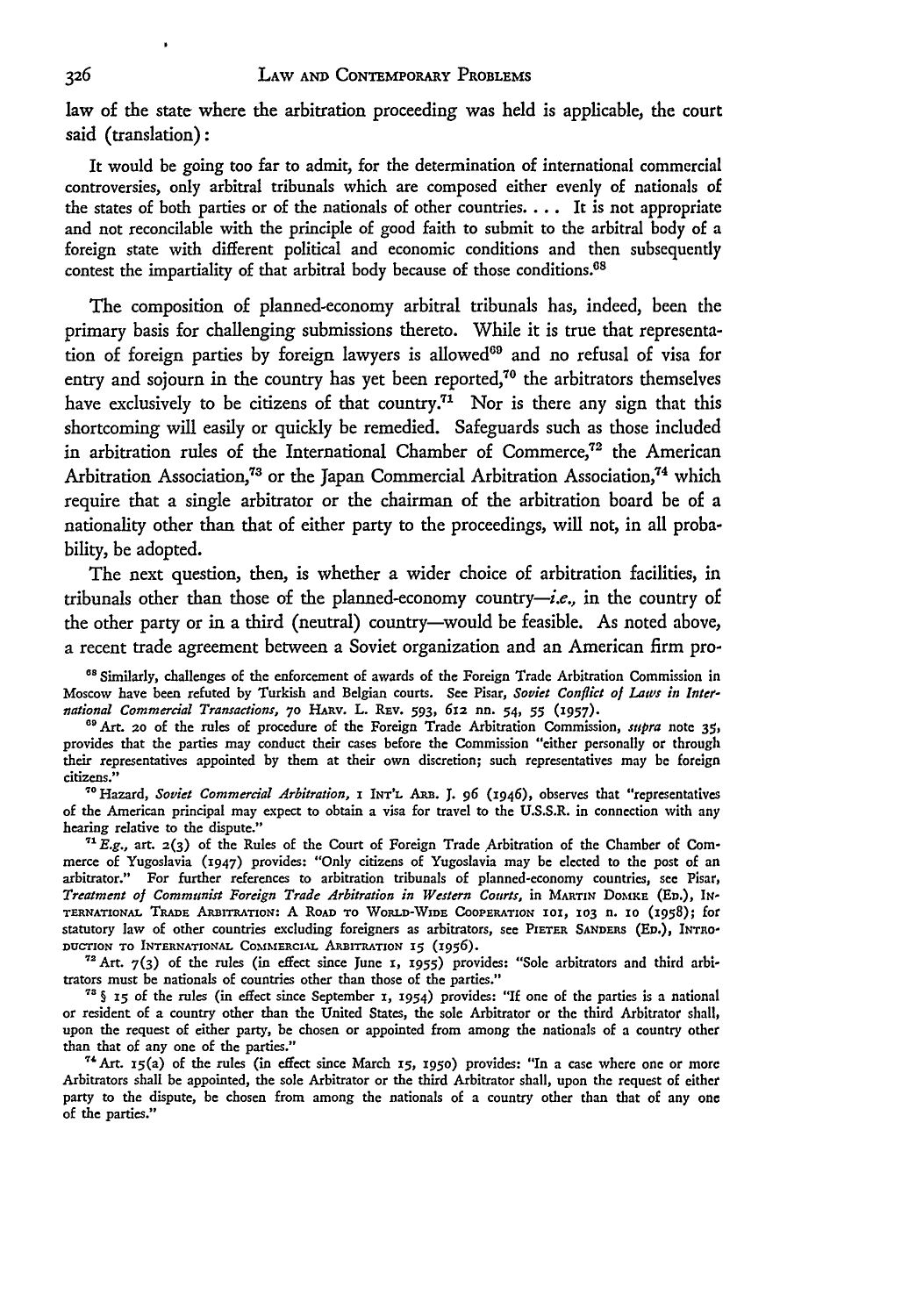law of the state where the arbitration proceeding was **held** is applicable, the court said (translation) **:**

It would be going too far to admit, for the determination of international commercial controversies, only arbitral tribunals which are composed either evenly of nationals of the states of both parties or of the nationals of other countries.... It is not appropriate and not reconcilable with the principle of good faith to submit to the arbitral body of a foreign state with different political and economic conditions and then subsequently contest the impartiality of that arbitral body because of those conditions.<sup>68</sup>

The composition of planned-economy arbitral tribunals has, indeed, been the primary basis for challenging submissions thereto. While it is true that representation of foreign parties by foreign lawyers is allowed<sup>69</sup> and no refusal of visa for entry and sojourn in the country has yet been reported,<sup>70</sup> the arbitrators themselves have exclusively to be citizens of that country.<sup>71</sup> Nor is there any sign that this shortcoming will easily or quickly be remedied. Safeguards such as those included in arbitration rules of the International Chamber of Commerce, $72$  the American Arbitration Association,<sup>73</sup> or the Japan Commercial Arbitration Association,<sup>74</sup> which require that a single arbitrator or the chairman of the arbitration board be of a nationality other than that of either party to the proceedings, will not, in all probability, **be** adopted.

The next question, then, is whether a wider choice of arbitration facilities, in tribunals other than those of the planned-economy country-i.e., in **the** country of the other party or in a third (neutral) country-would be feasible. As noted above, a recent trade agreement between a Soviet organization and an American firm pro-

**"** Similarly, challenges of the enforcement of awards of the Foreign Trade Arbitration Commission in Moscow have been refuted by Turkish and Belgian courts. **See** Pisar, *Soviet Conflict ol Laws in International Commercial Transactions,* **70 HAEv.** L. Rav. *593,* 612 **nn.** 54, *55* (957).

**"** Art. **2o** of the rules of procedure of the Foreign Trade Arbitration Commission, supra note **35,** provides that the parties may conduct their cases before the Commission "either personally or through their representatives appointed by them at their own discretion; such representatives may be foreign citizens."

7 Hazard, *Soviet Commercial Arbitration,* a **INTL** ARB. J. **96** (1946), observes that "representatives of the American principal may expect to obtain a visa for travel to the U.S.S.R. in connection with any hearing relative to the dispute."

*"\* E.g.,* art. **2(3)** of the Rules of the Court of Foreign Trade Arbitration of the Chamber of Commerce of Yugoslavia (1947) provides: "Only citizens of Yugoslavia may be elected to the post of an arbitrator." For further references to arbitration tribunals of planned-economy countries, see Pisar, *Treatment of Communist Foreign Trade Arbitration in Western Courts,* in MARTIN DOMKE (ED.), IN-**TERNATIONAL TRADE** ARBITRATIOs: **A** RoAD To WORLD-WIDE **CoOPERATION 10, 103** n. **io** (1958); for statutory law of other countries excluding foreigners as arbitrators, see PIETER SANDERS (ED.), INTRO-DUCTION TO INTERNATIONAL COMMERCIAL ARBITRATION 15 (1956).

"Art. **7(3)** of the rules (in effect since June **1, 1955)** provides: "Sole arbitrators and third arbitrators must be nationals of countries other than those of the parties."

**" §** *x5* of the rules (in effect since September **1, 1954)** provides: **"If** one of the parties is a national or resident of a country other than the United States, the sole Arbitrator or the third Arbitrator shall, upon the request of either party, be chosen or appointed from among the nationals of a country other than that of any one of the parties."

**"'Art. i5(a)** of the rules (in effect since March *15, 1950)* provides: "In a case where one or more Arbitrators shall **be** appointed, the sole Arbitrator or the third Arbitrator shall, upon the request of either party to the dispute, be chosen from among the nationals of a country other than that of any one of the parties."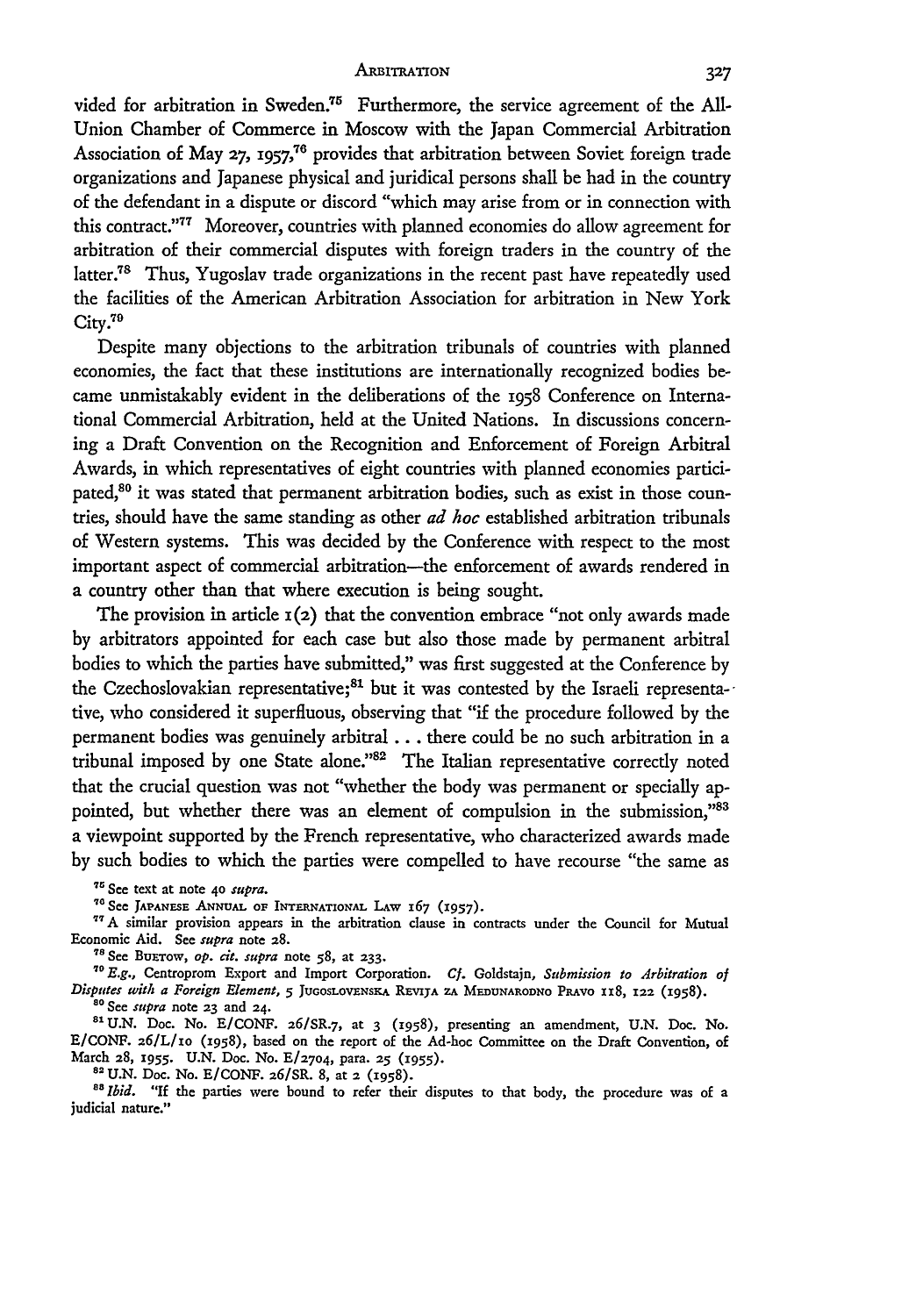#### **ARBITRATION**

vided for arbitration in Sweden.<sup>75</sup> Furthermore, the service agreement of the All-Union Chamber of Commerce in Moscow with the Japan Commercial Arbitration Association of May 27, 1957,<sup>76</sup> provides that arbitration between Soviet foreign trade organizations and Japanese physical and juridical persons shall be had in the country of the defendant in a dispute or discord "which may arise from or in connection with this contract."77 Moreover, countries with planned economies do allow agreement for arbitration of their commercial disputes with foreign traders in the country of the latter.78 Thus, Yugoslav trade organizations in the recent past have repeatedly used the facilities of the American Arbitration Association for arbitration in New York City.<sup>79</sup>

Despite many objections to the arbitration tribunals of countries with planned economies, the fact that these institutions are internationally recognized bodies became unmistakably evident in the deliberations of the 1958 Conference on International Commercial Arbitration, held at the United Nations. In discussions concerning a Draft Convention on the Recognition and Enforcement of Foreign Arbitral Awards, in which representatives of eight countries with planned economies participated,<sup>80</sup> it was stated that permanent arbitration bodies, such as exist in those countries, should have the same standing as other *ad hoc* established arbitration tribunals of Western systems. This was decided by the Conference with respect to the most important aspect of commercial arbitration-the enforcement of awards rendered in a country other than that where execution is being sought.

The provision in article  $\mathbf{r}(2)$  that the convention embrace "not only awards made" by arbitrators appointed for each case but also those made by permanent arbitral bodies to which the parties have submitted," was first suggested at the Conference by the Czechoslovakian representative;<sup>81</sup> but it was contested by the Israeli representative, who considered it superfluous, observing that "if the procedure followed by the permanent bodies was genuinely arbitral **...** there could be no such arbitration in a tribunal imposed by one State alone."<sup>82</sup> The Italian representative correctly noted that the crucial question was not "whether the body was permanent or specially appointed, but whether there was an element of compulsion in the submission,"83 a viewpoint supported by the French representative, who characterized awards made by such bodies to which the parties were compelled to have recourse "the same as

See text at note 40 *supra.*

**See JAPANEsE ANNUAL OF INTERNATIONAL LAW** 167 **(1957).**

<sup>77</sup> A similar provision appears in the arbitration clause in contracts under the Council for Mutual Economic Aid. See *supra* note **28.**

s **See** BuaTow, *op.* **ci.** *supra* note **58,** at **233.**

*E.g.,* Centroprom Export and Import Corporation. *Cf.* Goldstajn, *Submission to Arbitration of Disputes with a Foreign Element, 5* **JUGOSLOVENSKA REVIJA** ZA **MEnuNARODNO** PRAVO XX8, **122** (1958). *" See supra* note **23** and **24.**

<sup>81</sup> U.N. Doc. No. E/CONF. 26/SR.7, at 3 (1958), presenting an amendment, U.N. Doc. No. E/CONF. **26/L/io** (1958), based on the report of the Ad-hoc Committee on the Draft Convention, of March 28, 1955. U.N. Doc. No. E/2704, para. 25 (1955).

**2 U.N.** Doc. No. E/CONF. 26/SR. 8, at **2** (1958).

<sup>88</sup> Ibid. "If the parties were bound to refer their disputes to that body, the procedure was of a judicial nature."